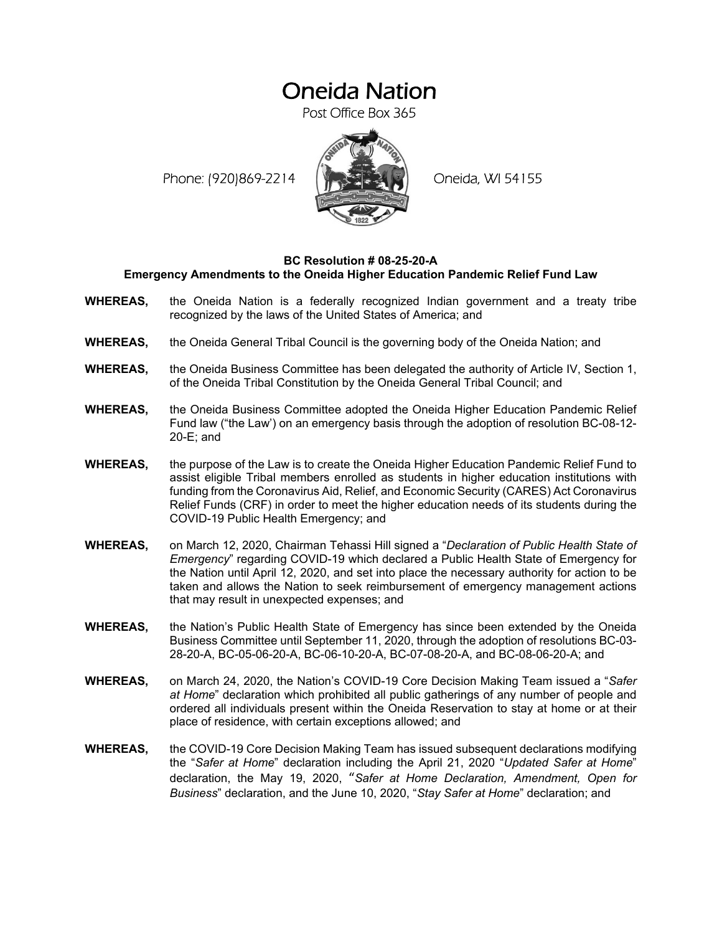## Oneida Nation

Post Office Box 365

Phone: (920)869-2214 (XXXXXXX) Oneida, WI 54155



## **BC Resolution # 08-25-20-A Emergency Amendments to the Oneida Higher Education Pandemic Relief Fund Law**

- **WHEREAS,** the Oneida Nation is a federally recognized Indian government and a treaty tribe recognized by the laws of the United States of America; and
- **WHEREAS,** the Oneida General Tribal Council is the governing body of the Oneida Nation; and
- **WHEREAS,** the Oneida Business Committee has been delegated the authority of Article IV, Section 1, of the Oneida Tribal Constitution by the Oneida General Tribal Council; and
- **WHEREAS,** the Oneida Business Committee adopted the Oneida Higher Education Pandemic Relief Fund law ("the Law') on an emergency basis through the adoption of resolution BC-08-12- 20-E; and
- **WHEREAS,** the purpose of the Law is to create the Oneida Higher Education Pandemic Relief Fund to assist eligible Tribal members enrolled as students in higher education institutions with funding from the Coronavirus Aid, Relief, and Economic Security (CARES) Act Coronavirus Relief Funds (CRF) in order to meet the higher education needs of its students during the COVID-19 Public Health Emergency; and
- **WHEREAS,** on March 12, 2020, Chairman Tehassi Hill signed a "*Declaration of Public Health State of Emergency*" regarding COVID-19 which declared a Public Health State of Emergency for the Nation until April 12, 2020, and set into place the necessary authority for action to be taken and allows the Nation to seek reimbursement of emergency management actions that may result in unexpected expenses; and
- **WHEREAS,** the Nation's Public Health State of Emergency has since been extended by the Oneida Business Committee until September 11, 2020, through the adoption of resolutions BC-03- 28-20-A, BC-05-06-20-A, BC-06-10-20-A, BC-07-08-20-A, and BC-08-06-20-A; and
- **WHEREAS,** on March 24, 2020, the Nation's COVID-19 Core Decision Making Team issued a "*Safer at Home*" declaration which prohibited all public gatherings of any number of people and ordered all individuals present within the Oneida Reservation to stay at home or at their place of residence, with certain exceptions allowed; and
- **WHEREAS,** the COVID-19 Core Decision Making Team has issued subsequent declarations modifying the "*Safer at Home*" declaration including the April 21, 2020 "*Updated Safer at Home*" declaration, the May 19, 2020, "*Safer at Home Declaration, Amendment, Open for Business*" declaration, and the June 10, 2020, "*Stay Safer at Home*" declaration; and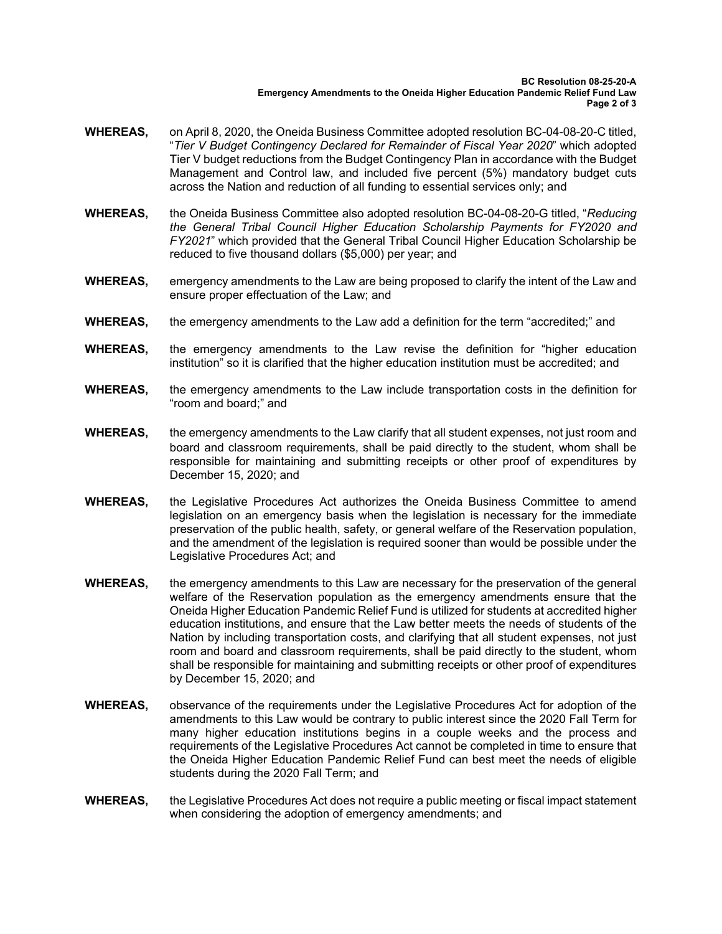- **WHEREAS,** on April 8, 2020, the Oneida Business Committee adopted resolution BC-04-08-20-C titled, "*Tier V Budget Contingency Declared for Remainder of Fiscal Year 2020*" which adopted Tier V budget reductions from the Budget Contingency Plan in accordance with the Budget Management and Control law, and included five percent (5%) mandatory budget cuts across the Nation and reduction of all funding to essential services only; and
- **WHEREAS,** the Oneida Business Committee also adopted resolution BC-04-08-20-G titled, "*Reducing the General Tribal Council Higher Education Scholarship Payments for FY2020 and FY2021*" which provided that the General Tribal Council Higher Education Scholarship be reduced to five thousand dollars (\$5,000) per year; and
- **WHEREAS,** emergency amendments to the Law are being proposed to clarify the intent of the Law and ensure proper effectuation of the Law; and
- **WHEREAS,** the emergency amendments to the Law add a definition for the term "accredited;" and
- **WHEREAS,** the emergency amendments to the Law revise the definition for "higher education institution" so it is clarified that the higher education institution must be accredited; and
- **WHEREAS,** the emergency amendments to the Law include transportation costs in the definition for "room and board;" and
- **WHEREAS,** the emergency amendments to the Law clarify that all student expenses, not just room and board and classroom requirements, shall be paid directly to the student, whom shall be responsible for maintaining and submitting receipts or other proof of expenditures by December 15, 2020; and
- **WHEREAS,** the Legislative Procedures Act authorizes the Oneida Business Committee to amend legislation on an emergency basis when the legislation is necessary for the immediate preservation of the public health, safety, or general welfare of the Reservation population, and the amendment of the legislation is required sooner than would be possible under the Legislative Procedures Act; and
- **WHEREAS,** the emergency amendments to this Law are necessary for the preservation of the general welfare of the Reservation population as the emergency amendments ensure that the Oneida Higher Education Pandemic Relief Fund is utilized for students at accredited higher education institutions, and ensure that the Law better meets the needs of students of the Nation by including transportation costs, and clarifying that all student expenses, not just room and board and classroom requirements, shall be paid directly to the student, whom shall be responsible for maintaining and submitting receipts or other proof of expenditures by December 15, 2020; and
- **WHEREAS,** observance of the requirements under the Legislative Procedures Act for adoption of the amendments to this Law would be contrary to public interest since the 2020 Fall Term for many higher education institutions begins in a couple weeks and the process and requirements of the Legislative Procedures Act cannot be completed in time to ensure that the Oneida Higher Education Pandemic Relief Fund can best meet the needs of eligible students during the 2020 Fall Term; and
- **WHEREAS,** the Legislative Procedures Act does not require a public meeting or fiscal impact statement when considering the adoption of emergency amendments; and